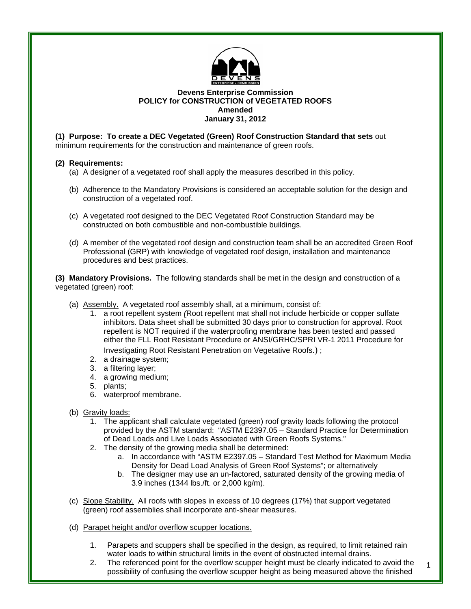

## **Devens Enterprise Commission POLICY for CONSTRUCTION of VEGETATED ROOFS Amended January 31, 2012**

**(1) Purpose: To create a DEC Vegetated (Green) Roof Construction Standard that sets** out minimum requirements for the construction and maintenance of green roofs.

## **(2) Requirements:**

- (a) A designer of a vegetated roof shall apply the measures described in this policy.
- (b) Adherence to the Mandatory Provisions is considered an acceptable solution for the design and construction of a vegetated roof.
- (c) A vegetated roof designed to the DEC Vegetated Roof Construction Standard may be constructed on both combustible and non-combustible buildings.
- (d) A member of the vegetated roof design and construction team shall be an accredited Green Roof Professional (GRP) with knowledge of vegetated roof design, installation and maintenance procedures and best practices.

**(3) Mandatory Provisions.** The following standards shall be met in the design and construction of a vegetated (green) roof:

- (a) Assembly. A vegetated roof assembly shall, at a minimum, consist of:
	- 1. a root repellent system *(*Root repellent mat shall not include herbicide or copper sulfate inhibitors. Data sheet shall be submitted 30 days prior to construction for approval. Root repellent is NOT required if the waterproofing membrane has been tested and passed either the FLL Root Resistant Procedure or ANSI/GRHC/SPRI VR-1 2011 Procedure for Investigating Root Resistant Penetration on Vegetative Roofs.) ;
	- 2. a drainage system;
	- 3. a filtering layer;
	- 4. a growing medium;
	- 5. plants;
	- 6. waterproof membrane.
- (b) Gravity loads:
	- 1. The applicant shall calculate vegetated (green) roof gravity loads following the protocol provided by the ASTM standard: "ASTM E2397.05 – Standard Practice for Determination of Dead Loads and Live Loads Associated with Green Roofs Systems."
	- 2. The density of the growing media shall be determined:
		- a. In accordance with "ASTM E2397.05 Standard Test Method for Maximum Media Density for Dead Load Analysis of Green Roof Systems"; or alternatively
		- b. The designer may use an un-factored, saturated density of the growing media of 3.9 inches (1344 lbs./ft. or 2,000 kg/m).
- (c) Slope Stability. All roofs with slopes in excess of 10 degrees (17%) that support vegetated (green) roof assemblies shall incorporate anti-shear measures.
- (d) Parapet height and/or overflow scupper locations.
	- 1. Parapets and scuppers shall be specified in the design, as required, to limit retained rain water loads to within structural limits in the event of obstructed internal drains.
	- 1 2. The referenced point for the overflow scupper height must be clearly indicated to avoid the possibility of confusing the overflow scupper height as being measured above the finished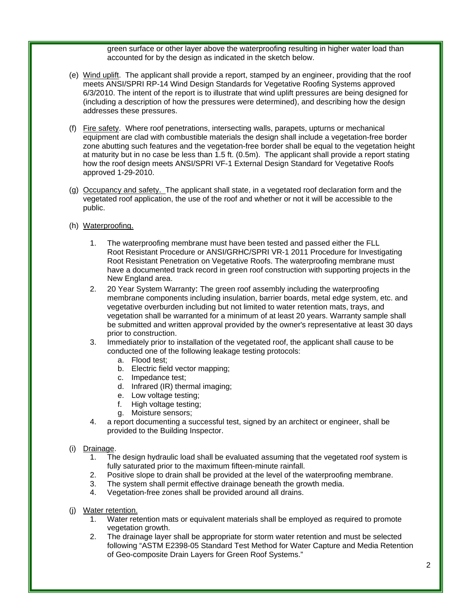green surface or other layer above the waterproofing resulting in higher water load than accounted for by the design as indicated in the sketch below.

- (e) Wind uplift. The applicant shall provide a report, stamped by an engineer, providing that the roof meets ANSI/SPRI RP-14 Wind Design Standards for Vegetative Roofing Systems approved 6/3/2010. The intent of the report is to illustrate that wind uplift pressures are being designed for (including a description of how the pressures were determined), and describing how the design addresses these pressures.
- (f) Fire safety. Where roof penetrations, intersecting walls, parapets, upturns or mechanical equipment are clad with combustible materials the design shall include a vegetation-free border zone abutting such features and the vegetation-free border shall be equal to the vegetation height at maturity but in no case be less than 1.5 ft. (0.5m). The applicant shall provide a report stating how the roof design meets ANSI/SPRI VF-1 External Design Standard for Vegetative Roofs approved 1-29-2010.
- (g) Occupancy and safety. The applicant shall state, in a vegetated roof declaration form and the vegetated roof application, the use of the roof and whether or not it will be accessible to the public.
- (h) Waterproofing.
	- 1. The waterproofing membrane must have been tested and passed either the FLL Root Resistant Procedure or ANSI/GRHC/SPRI VR-1 2011 Procedure for Investigating Root Resistant Penetration on Vegetative Roofs. The waterproofing membrane must have a documented track record in green roof construction with supporting projects in the New England area.
	- 2. 20 Year System Warranty: The green roof assembly including the waterproofing membrane components including insulation, barrier boards, metal edge system, etc. and vegetative overburden including but not limited to water retention mats, trays, and vegetation shall be warranted for a minimum of at least 20 years. Warranty sample shall be submitted and written approval provided by the owner's representative at least 30 days prior to construction.
	- 3. Immediately prior to installation of the vegetated roof, the applicant shall cause to be conducted one of the following leakage testing protocols:
		- a. Flood test;
		- b. Electric field vector mapping;
		- c. Impedance test;
		- d. Infrared (IR) thermal imaging;
		- e. Low voltage testing;
		- f. High voltage testing;
		- g. Moisture sensors;
	- 4. a report documenting a successful test, signed by an architect or engineer, shall be provided to the Building Inspector.

## (i) Drainage.

- 1. The design hydraulic load shall be evaluated assuming that the vegetated roof system is fully saturated prior to the maximum fifteen-minute rainfall.
- 2. Positive slope to drain shall be provided at the level of the waterproofing membrane.
- 3. The system shall permit effective drainage beneath the growth media.
- 4. Vegetation-free zones shall be provided around all drains.
- (j) Water retention.
	- 1. Water retention mats or equivalent materials shall be employed as required to promote vegetation growth.
	- 2. The drainage layer shall be appropriate for storm water retention and must be selected following "ASTM E2398-05 Standard Test Method for Water Capture and Media Retention of Geo-composite Drain Layers for Green Roof Systems."